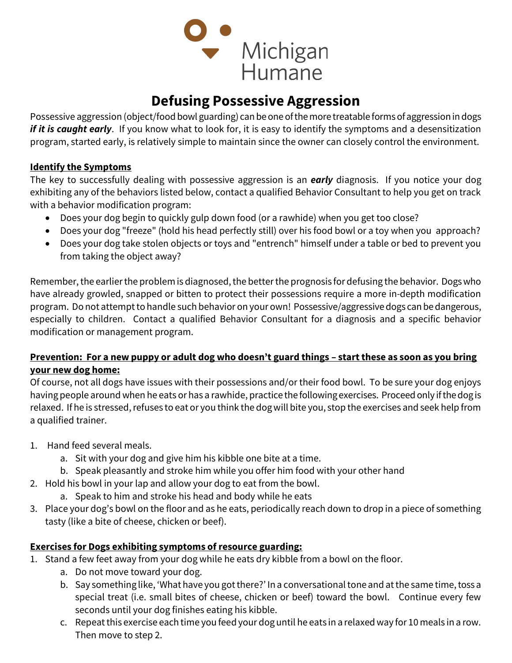

## Defusing Possessive Aggression

Possessive aggression (object/food bowl guarding) can be one of the more treatable forms of aggression in dogs if it is caught early. If you know what to look for, it is easy to identify the symptoms and a desensitization program, started early, is relatively simple to maintain since the owner can closely control the environment.

## Identify the Symptoms

The key to successfully dealing with possessive aggression is an **early** diagnosis. If you notice your dog exhibiting any of the behaviors listed below, contact a qualified Behavior Consultant to help you get on track with a behavior modification program:

- Does your dog begin to quickly gulp down food (or a rawhide) when you get too close?
- Does your dog "freeze" (hold his head perfectly still) over his food bowl or a toy when you approach?
- Does your dog take stolen objects or toys and "entrench" himself under a table or bed to prevent you from taking the object away?

Remember, the earlier the problem is diagnosed, the better the prognosis for defusing the behavior. Dogs who have already growled, snapped or bitten to protect their possessions require a more in-depth modification program. Do not attempt to handle such behavior on your own! Possessive/aggressive dogs can be dangerous, especially to children. Contact a qualified Behavior Consultant for a diagnosis and a specific behavior modification or management program.

## Prevention: For a new puppy or adult dog who doesn't guard things – start these as soon as you bring your new dog home:

Of course, not all dogs have issues with their possessions and/or their food bowl. To be sure your dog enjoys having people around when he eats or has a rawhide, practice the following exercises. Proceed only if the dog is relaxed. If he is stressed, refuses to eat or you think the dog will bite you, stop the exercises and seek help from a qualified trainer.

- 1. Hand feed several meals.
	- a. Sit with your dog and give him his kibble one bite at a time.
	- b. Speak pleasantly and stroke him while you offer him food with your other hand
- 2. Hold his bowl in your lap and allow your dog to eat from the bowl.
	- a. Speak to him and stroke his head and body while he eats
- 3. Place your dog's bowl on the floor and as he eats, periodically reach down to drop in a piece of something tasty (like a bite of cheese, chicken or beef).

## Exercises for Dogs exhibiting symptoms of resource guarding:

- 1. Stand a few feet away from your dog while he eats dry kibble from a bowl on the floor.
	- a. Do not move toward your dog.
	- b. Say something like, 'What have you got there?' In a conversational tone and at the same time, toss a special treat (i.e. small bites of cheese, chicken or beef) toward the bowl. Continue every few seconds until your dog finishes eating his kibble.
	- c. Repeat this exercise each time you feed your dog until he eats in a relaxed way for 10 meals in a row. Then move to step 2.